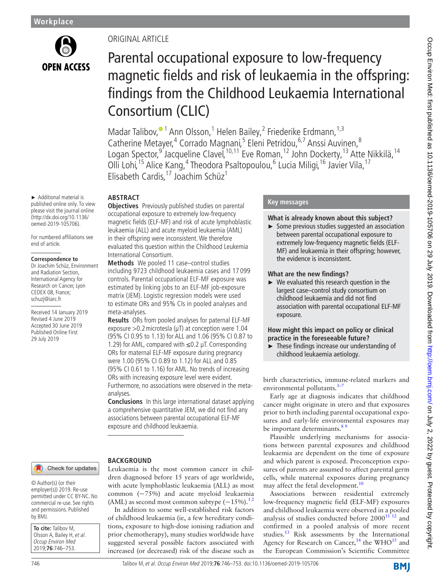

► Additional material is published online only. To view please visit the journal online (http://dx.doi.org/10.1136/ oemed-2019-105706).

For numbered affiliations see end of article.

#### **Correspondence to**

Dr Joachim Schüz, Environment and Radiation Section, International Agency for Research on Cancer, Lyon CEDEX 08, France; schuzj@iarc.fr

Received 14 January 2019 Revised 4 June 2019 Accepted 30 June 2019 Published Online First 29 July 2019

# Original article

# Parental occupational exposure to low-frequency magnetic fields and risk of leukaemia in the offspring: findings from the Childhood Leukaemia International Consortium (CLIC)

Madar Talibov[,](http://orcid.org/0000-0002-6548-358X)<sup>® 1</sup> Ann Olsson,<sup>1</sup> Helen Bailey,<sup>2</sup> Friederike Erdmann,<sup>1,3</sup> Catherine Metayer,<sup>4</sup> Corrado Magnani,<sup>5</sup> Eleni Petridou, 6,7 Anssi Auvinen, 8 Logan Spector,<sup>9</sup> Jacqueline Clavel,<sup>10,11</sup> Eve Roman,<sup>12</sup> John Dockerty,<sup>13</sup> Atte Nikkilä,<sup>14</sup> Olli Lohi,<sup>15</sup> Alice Kang,<sup>4</sup> Theodora Psaltopoulou,<sup>6</sup> Lucia Miligi,<sup>16</sup> Javier Vila,<sup>17</sup> Elisabeth Cardis,17 Joachim Schüz1

## **Abstract**

**BACKGROUND** 

**Objectives** Previously published studies on parental occupational exposure to extremely low-frequency magnetic fields (ELF-MF) and risk of acute lymphoblastic leukaemia (ALL) and acute myeloid leukaemia (AML) in their offspring were inconsistent. We therefore evaluated this question within the Childhood Leukemia International Consortium.

**Methods** We pooled 11 case–control studies including 9723 childhood leukaemia cases and 17 099 controls. Parental occupational ELF-MF exposure was estimated by linking jobs to an ELF-MF job-exposure matrix (JEM). Logistic regression models were used to estimate ORs and 95% CIs in pooled analyses and meta-analyses.

**Results** ORs from pooled analyses for paternal ELF-MF exposure  $>0.2$  microtesla ( $\mu$ T) at conception were 1.04 (95% CI 0.95 to 1.13) for ALL and 1.06 (95% CI 0.87 to 1.29) for AML, compared with ≤0.2 µT. Corresponding ORs for maternal ELF-MF exposure during pregnancy were 1.00 (95% CI 0.89 to 1.12) for ALL and 0.85 (95% CI 0.61 to 1.16) for AML. No trends of increasing ORs with increasing exposure level were evident. Furthermore, no associations were observed in the metaanalyses.

**Conclusions** In this large international dataset applying a comprehensive quantitative JEM, we did not find any associations between parental occupational ELF-MF exposure and childhood leukaemia.

Leukaemia is the most common cancer in children diagnosed before 15 years of age worldwide, with acute lymphoblastic leukaemia (ALL) as most common (~75%) and acute myeloid leukaemia (AML) as second most common subtype  $({\sim}15\%)$ .<sup>12</sup> In addition to some well-established risk factors of childhood leukaemia (ie, a few hereditary conditions, exposure to high-dose ionising radiation and prior chemotherapy), many studies worldwide have suggested several possible factors associated with increased (or decreased) risk of the disease such as

## Check for updates

© Author(s) (or their employer(s)) 2019. Re-use permitted under CC BY-NC. No commercial re-use. See rights and permissions. Published by BMJ.

**To cite:** Talibov M, Olsson A, Bailey H, et al. Occup Environ Med 2019;**76**:746–753.

## **Key messages**

## **What is already known about this subject?**

► Some previous studies suggested an association between parental occupational exposure to extremely low-frequency magnetic fields (ELF-MF) and leukaemia in their offspring; however, the evidence is inconsistent.

## **What are the new findings?**

► We evaluated this research question in the largest case–control study consortium on childhood leukaemia and did not find association with parental occupational ELF-MF exposure.

## **How might this impact on policy or clinical practice in the foreseeable future?**

► These findings increase our understanding of childhood leukaemia aetiology.

birth characteristics, immune-related markers and environmental pollutants.<sup>3-</sup>

Early age at diagnosis indicates that childhood cancer might originate in utero and that exposures prior to birth including parental occupational exposures and early-life environmental exposures may be important determinants.<sup>85</sup>

Plausible underlying mechanisms for associations between parental exposures and childhood leukaemia are dependent on the time of exposure and which parent is exposed. Preconception exposures of parents are assumed to affect parental germ cells, while maternal exposures during pregnancy may affect the fetal development.<sup>10</sup>

Associations between residential extremely low-frequency magnetic field (ELF-MF) exposures and childhood leukaemia were observed in a pooled analysis of studies conducted before  $2000^{11}$   $12$  and confirmed in a pooled analysis of more recent studies.<sup>[13](#page-7-5)</sup> Risk assessments by the International Agency for Research on Cancer,<sup>[14](#page-7-6)</sup> the WHO<sup>15</sup> and the European Commission's Scientific Committee

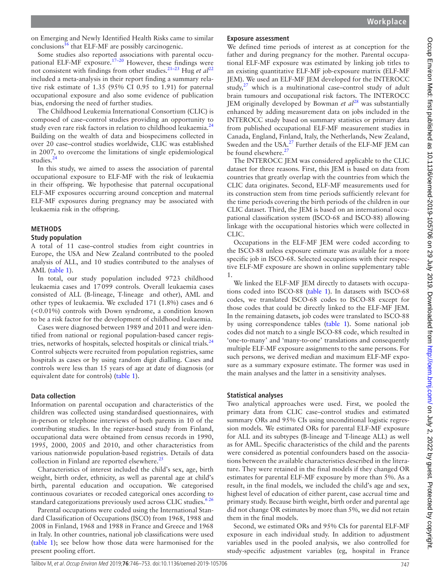on Emerging and Newly Identified Health Risks came to similar  $\text{conclusions}^{\mathbf{16}}$  $\text{conclusions}^{\mathbf{16}}$  $\text{conclusions}^{\mathbf{16}}$  that ELF-MF are possibly carcinogenic.

Some studies also reported associations with parental occu-pational ELF-MF exposure.<sup>[17–20](#page-7-9)</sup> However, these findings were not consistent with findings from other studies.<sup>21–23</sup> Hug *et al*<sup>[22](#page-7-11)</sup> included a meta-analysis in their report finding a summary relative risk estimate of 1.35 (95% CI 0.95 to 1.91) for paternal occupational exposure and also some evidence of publication bias, endorsing the need of further studies.

The Childhood Leukemia International Consortium (CLIC) is composed of case–control studies providing an opportunity to study even rare risk factors in relation to childhood leukaemia.<sup>[24](#page-7-12)</sup> Building on the wealth of data and biospecimens collected in over 20 case–control studies worldwide, CLIC was established in 2007, to overcome the limitations of single epidemiological studies.<sup>[24](#page-7-12)</sup>

In this study, we aimed to assess the association of parental occupational exposure to ELF-MF with the risk of leukaemia in their offspring. We hypothesise that paternal occupational ELF-MF exposures occurring around conception and maternal ELF-MF exposures during pregnancy may be associated with leukaemia risk in the offspring.

## **Methods**

## **Study population**

A total of 11 case–control studies from eight countries in Europe, the USA and New Zealand contributed to the pooled analysis of ALL, and 10 studies contributed to the analyses of AML ([table](#page-2-0) 1).

In total, our study population included 9723 childhood leukaemia cases and 17099 controls. Overall leukaemia cases consisted of ALL (B-lineage, T-lineage and other), AML and other types of leukaemia. We excluded 171 (1.8%) cases and 6 (<0.01%) controls with Down syndrome, a condition known to be a risk factor for the development of childhood leukaemia.

Cases were diagnosed between 1989 and 2011 and were identified from national or regional population-based cancer regis-tries, networks of hospitals, selected hospitals or clinical trials.<sup>[24](#page-7-12)</sup> Control subjects were recruited from population registries, same hospitals as cases or by using random digit dialling. Cases and controls were less than 15 years of age at date of diagnosis (or equivalent date for controls) ([table](#page-2-0) 1).

## **Data collection**

Information on parental occupation and characteristics of the children was collected using standardised questionnaires, with in-person or telephone interviews of both parents in 10 of the contributing studies. In the register-based study from Finland, occupational data were obtained from census records in 1990, 1995, 2000, 2005 and 2010, and other characteristics from various nationwide population-based registries. Details of data collection in Finland are reported elsewhere.<sup>25</sup>

Characteristics of interest included the child's sex, age, birth weight, birth order, ethnicity, as well as parental age at child's birth, parental education and occupation. We categorised continuous covariates or recoded categorical ones according to standard categorizations previously used across CLIC studies.<sup>626</sup>

Parental occupations were coded using the International Standard Classification of Occupations (ISCO) from 1968, 1988 and 2008 in Finland, 1968 and 1988 in France and Greece and 1968 in Italy. In other countries, national job classifications were used ([table](#page-2-0) 1); see below how those data were harmonised for the present pooling effort.

## **Exposure assessment**

We defined time periods of interest as at conception for the father and during pregnancy for the mother. Parental occupational ELF-MF exposure was estimated by linking job titles to an existing quantitative ELF-MF job-exposure matrix (ELF-MF JEM). We used an ELF-MF JEM developed for the INTEROCC study, $27$  which is a multinational case–control study of adult brain tumours and occupational risk factors. The INTEROCC JEM originally developed by Bowman *et al*[28](#page-7-16) was substantially enhanced by adding measurement data on jobs included in the INTEROCC study based on summary statistics or primary data from published occupational ELF-MF measurement studies in Canada, England, Finland, Italy, the Netherlands, New Zealand, Sweden and the USA.<sup>27</sup> Further details of the ELF-MF JEM can be found elsewhere.<sup>[27](#page-7-15)</sup>

The INTEROCC JEM was considered applicable to the CLIC dataset for three reasons. First, this JEM is based on data from countries that greatly overlap with the countries from which the CLIC data originates. Second, ELF-MF measurements used for its construction stem from time periods sufficiently relevant for the time periods covering the birth periods of the children in our CLIC dataset. Third, the JEM is based on an international occupational classification system (ISCO-68 and ISCO-88) allowing linkage with the occupational histories which were collected in CLIC.

Occupations in the ELF-MF JEM were coded according to the ISCO-88 unless exposure estimate was available for a more specific job in ISCO-68. Selected occupations with their respective ELF-MF exposure are shown in online [supplementary table](https://dx.doi.org/10.1136/oemed-2019-105706) [1.](https://dx.doi.org/10.1136/oemed-2019-105706)

We linked the ELF-MF JEM directly to datasets with occupations coded into ISCO-88 [\(table](#page-2-0) 1). In datasets with ISCO-68 codes, we translated ISCO-68 codes to ISCO-88 except for those codes that could be directly linked to the ELF-MF JEM. In the remaining datasets, job codes were translated to ISCO-88 by using correspondence tables ([table](#page-2-0) 1). Some national job codes did not match to a single ISCO-88 code, which resulted in 'one-to-many' and 'many-to-one' translations and consequently multiple ELF-MF exposure assignments to the same persons. For such persons, we derived median and maximum ELF-MF exposure as a summary exposure estimate. The former was used in the main analyses and the latter in a sensitivity analyses.

## **Statistical analyses**

Two analytical approaches were used. First, we pooled the primary data from CLIC case–control studies and estimated summary ORs and 95% CIs using unconditional logistic regression models. We estimated ORs for parental ELF-MF exposure for ALL and its subtypes (B-lineage and T-lineage ALL) as well as for AML. Specific characteristics of the child and the parents were considered as potential confounders based on the associations between the available characteristics described in the literature. They were retained in the final models if they changed OR estimates for parental ELF-MF exposure by more than 5%. As a result, in the final models, we included the child's age and sex, highest level of education of either parent, case accrual time and primary study. Because birth weight, birth order and parental age did not change OR estimates by more than 5%, we did not retain them in the final models.

Second, we estimated ORs and 95% CIs for parental ELF-MF exposure in each individual study. In addition to adjustment variables used in the pooled analysis, we also controlled for study-specific adjustment variables (eg, hospital in France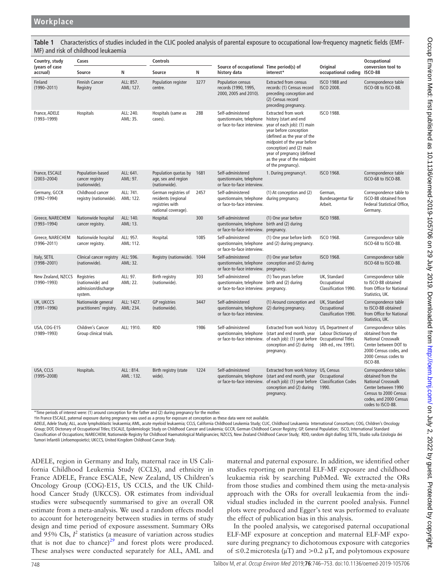<span id="page-2-0"></span>**Table 1** Characteristics of studies included in the CLIC pooled analysis of parental exposure to occupational low-frequency magnetic fields (EMF-MF) and risk of childhood leukaemia

| Country, study                        | Cases                                                            |                         | <b>Controls</b>                                                                       |      |                                                                                                             |                                                                                                                                                                                                                                                                                     |                                                      | Occupational                                                                                                                                                           |
|---------------------------------------|------------------------------------------------------------------|-------------------------|---------------------------------------------------------------------------------------|------|-------------------------------------------------------------------------------------------------------------|-------------------------------------------------------------------------------------------------------------------------------------------------------------------------------------------------------------------------------------------------------------------------------------|------------------------------------------------------|------------------------------------------------------------------------------------------------------------------------------------------------------------------------|
| (years of case<br>accrual)            | Source                                                           | N                       | Source                                                                                | N    | Source of occupational Time period(s) of<br>history data                                                    | interest*                                                                                                                                                                                                                                                                           | Original<br>occupational coding                      | conversion tool to<br><b>ISCO-88</b>                                                                                                                                   |
| Finland<br>$(1990 - 2011)$            | <b>Finnish Cancer</b><br>Registry                                | ALL: 857.<br>AML: 127.  | Population register<br>centre.                                                        | 3277 | Population census<br>records (1990, 1995,<br>2000, 2005 and 2010).                                          | <b>Extracted from census</b><br>records: (1) Census record<br>preceding conception and<br>(2) Census record<br>preceding pregnancy.                                                                                                                                                 | <b>ISCO 1988 and</b><br><b>ISCO 2008.</b>            | Correspondence table<br>ISCO-08 to ISCO-88.                                                                                                                            |
| France, ADELE<br>$(1993 - 1999)$      | Hospitals                                                        | ALL: 240.<br>AML: 35.   | Hospitals (same as<br>cases).                                                         | 288  | Self-administered<br>questionnaire, telephone<br>or face-to-face interview.                                 | Extracted from work<br>history (start and end<br>year of each job): (1) main<br>year before conception<br>(defined as the year of the<br>midpoint of the year before<br>conception) and (2) main<br>year of pregnancy (defined<br>as the year of the midpoint<br>of the pregnancy). | <b>ISCO 1988.</b>                                    |                                                                                                                                                                        |
| France, ESCALE<br>$(2003 - 2004)$     | Population-based<br>cancer registry<br>(nationwide).             | ALL: 641.<br>AML: 97.   | Population quotas by<br>age, sex and region<br>(nationwide).                          | 1681 | Self-administered<br>questionnaire, telephone<br>or face-to-face interview.                                 | 1. During pregnancyt.                                                                                                                                                                                                                                                               | <b>ISCO 1968.</b>                                    | Correspondence table<br>ISCO-68 to ISCO-88.                                                                                                                            |
| Germany, GCCR<br>$(1992 - 1994)$      | Childhood cancer<br>registry (nationwide).                       | ALL: 741.<br>AML: 122.  | German registries of<br>residents (regional<br>registries with<br>national coverage). | 2457 | Self-administered<br>questionnaire, telephone during pregnancy.<br>or face-to-face interview.               | (1) At conception and (2)                                                                                                                                                                                                                                                           | German,<br>Bundesagentur für<br>Arbeit.              | Correspondence table to<br>ISCO-88 obtained from<br>Federal Statistical Office,<br>Germany.                                                                            |
| Greece, NARECHEM<br>$(1993 - 1994)$   | Nationwide hospital<br>cancer registry.                          | ALL: 140.<br>AML: 13.   | Hospital.                                                                             | 300  | Self-administered<br>questionnaire, telephone<br>or face-to-face interview. pregnancy.                      | (1) One year before<br>birth and (2) during                                                                                                                                                                                                                                         | <b>ISCO 1988.</b>                                    |                                                                                                                                                                        |
| Greece, NARECHEM<br>$(1996 - 2011)$   | Nationwide hospital<br>cancer registry.                          | ALL: 957.<br>AML: 112.  | Hospital.                                                                             | 1085 | Self-administered<br>or face-to-face interview.                                                             | (1) One year before birth<br>questionnaire, telephone and (2) during pregnancy.                                                                                                                                                                                                     | <b>ISCO 1968.</b>                                    | Correspondence table<br>ISCO-68 to ISCO-88.                                                                                                                            |
| Italy, SETIL<br>$(1998 - 2001)$       | Clinical cancer registry ALL: 596.<br>(nationwide).              | AML: 32.                | Registry (nationwide). 1044                                                           |      | Self-administered<br>or face-to-face interview. pregnancy.                                                  | (1) One year before<br>questionnaire, telephone conception and (2) during                                                                                                                                                                                                           | <b>ISCO 1968.</b>                                    | Correspondence table<br>ISCO-68 to ISCO-88.                                                                                                                            |
| New Zealand, NZCCS<br>$(1990 - 1993)$ | Registries<br>(nationwide) and<br>admission/discharge<br>system. | ALL: 97.<br>AML: 22.    | Birth registry<br>(nationwide).                                                       | 303  | Self-administered<br>questionnaire, telephone birth and (2) during<br>or face-to-face interview. pregnancy. | (1) Two years before                                                                                                                                                                                                                                                                | UK. Standard<br>Occupational<br>Classification 1990. | Correspondence table<br>to ISCO-88 obtained<br>from Office for National<br>Statistics, UK.                                                                             |
| UK, UKCCS<br>$(1991 - 1996)$          | Nationwide general<br>practitioners' registry.                   | ALL: 1427.<br>AML: 234. | <b>GP</b> registries<br>(nationwide).                                                 | 3447 | Self-administered<br>questionnaire, telephone (2) during pregnancy.<br>or face-to-face interview.           | (1) Around conception and                                                                                                                                                                                                                                                           | UK, Standard<br>Occupational<br>Classification 1990. | Correspondence table<br>to ISCO-88 obtained<br>from Office for National<br>Statistics, UK.                                                                             |
| USA, COG-E15<br>$(1989 - 1993)$       | Children's Cancer<br>Group clinical trials.                      | ALL: 1910.              | <b>RDD</b>                                                                            | 1986 | Self-administered<br>questionnaire, telephone<br>or face-to-face interview.                                 | Extracted from work history US, Department of<br>(start and end month, year<br>of each job): (1) year before Occupational Titles<br>conception and (2) during<br>pregnancy.                                                                                                         | Labour Dictionary of<br>(4th ed., rev. 1991).        | Correspondence tables<br>obtained from the<br>National Crosswalk<br>Center between DOT to<br>2000 Census codes, and<br>2000 Census codes to<br>ISCO-88.                |
| USA, CCLS<br>$(1995 - 2008)$          | Hospitals.                                                       | ALL: 814.<br>AML: 132.  | Birth registry (state<br>wide).                                                       | 1224 | Self-administered<br>or face-to-face interview.                                                             | Extracted from work history US, Census<br>questionnaire, telephone (start and end month, year Occupational<br>of each job): (1) year before Classification Codes<br>conception and (2) during<br>pregnancy.                                                                         | 1990.                                                | Correspondence tables<br>obtained from the<br><b>National Crosswalk</b><br>Center between 1990<br>Census to 2000 Census<br>codes, and 2000 Census<br>codes to ISCO-88. |

\*Time periods of interest were: (1) around conception for the father and (2) during pregnancy for the mother.

†In France ESCALE, paternal exposure during pregnancy was used as a proxy for exposure at conception as these data were not available.

ADELE, Adele Study; ALL, acute lymphoblastic leukaemia; AML, acute myeloid leukaemia; CCLS, California Childhood Leukemia Study; CLIC, Childhood Leukaemia International Consortium; COG, Children's Oncology Group; DOT, Dictonary of Occupational Titles; ESCALE, Epidemiologic Study on Childhood Cancer and Leukemia; GCCR, German Childhood Cancer Registry; GP, General Population; ISCO, International Standard Classification of Occupations; NARECHEM, Nationwide Registry for Childhood Haematological Malignancies; NZCCS, New Zealand Childhood Cancer Study; RDD, random digit dialling; SETIL, Studio sulla Eziologia dei Tumori Infantili Linfoemopoietici; UKCCS, United Kingdom Childhood Cancer Study.

ADELE, region in Germany and Italy, maternal race in US California Childhood Leukemia Study (CCLS), and ethnicity in France ADELE, France ESCALE, New Zealand, US Children's Oncology Group (COG)-E15, US CCLS, and the UK Childhood Cancer Study (UKCCS). OR estimates from individual studies were subsequently summarised to give an overall OR estimate from a meta-analysis. We used a random effects model to account for heterogeneity between studies in terms of study design and time period of exposure assessment. Summary ORs and  $95\%$  CIs,  $I^2$  statistics (a measure of variation across studies that is not due to chance) $2<sup>9</sup>$  and forest plots were produced. These analyses were conducted separately for ALL, AML and

maternal and paternal exposure. In addition, we identified other studies reporting on parental ELF-MF exposure and childhood leukaemia risk by searching PubMed. We extracted the ORs from those studies and combined them using the meta-analysis approach with the ORs for overall leukaemia from the individual studies included in the current pooled analysis. Funnel plots were produced and Egger's test was performed to evaluate the effect of publication bias in this analysis.

In the pooled analysis, we categorised paternal occupational ELF-MF exposure at conception and maternal ELF-MF exposure during pregnancy to dichotomous exposure with categories of ≤0.2 microtesla ( $\mu$ T) and >0.2  $\mu$ T, and polytomous exposure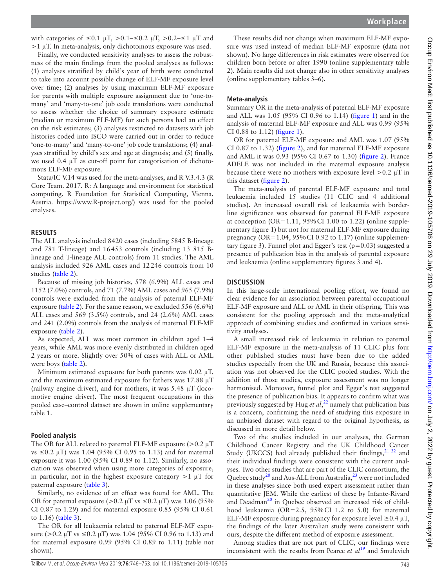with categories of  $\leq 0.1 \mu T$ ,  $> 0.1 - \leq 0.2 \mu T$ ,  $> 0.2 - \leq 1 \mu T$  and  $>1 \mu$ T. In meta-analysis, only dichotomous exposure was used.

Finally, we conducted sensitivity analyses to assess the robustness of the main findings from the pooled analyses as follows: (1) analyses stratified by child's year of birth were conducted to take into account possible change of ELF-MF exposure level over time; (2) analyses by using maximum ELF-MF exposure for parents with multiple exposure assignment due to 'one-tomany' and 'many-to-one' job code translations were conducted to assess whether the choice of summary exposure estimate (median or maximum ELF-MF) for such persons had an effect on the risk estimates; (3) analyses restricted to datasets with job histories coded into ISCO were carried out in order to reduce 'one-to-many' and 'many-to-one' job code translations; (4) analyses stratified by child's sex and age at diagnosis; and (5) finally, we used 0.4 µT as cut-off point for categorisation of dichotomous ELF-MF exposure.

Stata/IC V.14 was used for the meta-analyses, and R V.3.4.3 (R Core Team. 2017. R: A language and environment for statistical computing. R Foundation for Statistical Computing, Vienna, Austria. [https://www.R-project.org/\)](https://www.R-project.org/) was used for the pooled analyses.

#### **Results**

The ALL analysis included 8420 cases (including 5845 B-lineage and 781 T-lineage) and 16453 controls (including 13 815 Blineage and T-lineage ALL controls) from 11 studies. The AML analysis included 926 AML cases and 12246 controls from 10 studies ([table](#page-4-0) 2).

Because of missing job histories, 578 (6.9%) ALL cases and 1152 (7.0%) controls, and 71 (7.7%) AML cases and 965 (7.9%) controls were excluded from the analysis of paternal ELF-MF exposure [\(table](#page-4-0) 2). For the same reason, we excluded 556 (6.6%) ALL cases and 569 (3.5%) controls, and 24 (2.6%) AML cases and 241 (2.0%) controls from the analysis of maternal ELF-MF exposure ([table](#page-4-0) 2).

As expected, ALL was most common in children aged 1–4 years, while AML was more evenly distributed in children aged 2 years or more. Slightly over 50% of cases with ALL or AML were boys [\(table](#page-4-0) 2).

Minimum estimated exposure for both parents was  $0.02 \mu T$ , and the maximum estimated exposure for fathers was 17.88 µT (railway engine driver), and for mothers, it was 5.48 µT (locomotive engine driver). The most frequent occupations in this pooled case–control dataset are shown in online [supplementary](https://dx.doi.org/10.1136/oemed-2019-105706)  [table 1](https://dx.doi.org/10.1136/oemed-2019-105706).

#### **Pooled analysis**

The OR for ALL related to paternal ELF-MF exposure  $(>0.2 \mu T)$ vs ≤0.2 µT) was 1.04 (95% CI 0.95 to 1.13) and for maternal exposure it was 1.00 (95% CI 0.89 to 1.12). Similarly, no association was observed when using more categories of exposure, in particular, not in the highest exposure category  $>1 \mu T$  for paternal exposure ([table](#page-5-0) 3).

Similarly, no evidence of an effect was found for AML. The OR for paternal exposure ( $> 0.2 \mu T$  vs  $\leq 0.2 \mu T$ ) was 1.06 (95%) CI 0.87 to 1.29) and for maternal exposure 0.85 (95% CI 0.61 to 1.16) [\(table](#page-5-0) 3).

The OR for all leukaemia related to paternal ELF-MF exposure ( $> 0.2 \mu$ T vs  $\leq 0.2 \mu$ T) was 1.04 (95% CI 0.96 to 1.13) and for maternal exposure 0.99 (95% CI 0.89 to 1.11) (table not shown).

These results did not change when maximum ELF-MF exposure was used instead of median ELF-MF exposure (data not shown). No large differences in risk estimates were observed for children born before or after 1990 (online [supplementary table](https://dx.doi.org/10.1136/oemed-2019-105706) [2\)](https://dx.doi.org/10.1136/oemed-2019-105706). Main results did not change also in other sensitivity analyses (online [supplementary tables 3–6](https://dx.doi.org/10.1136/oemed-2019-105706)).

#### **Meta-analysis**

Summary OR in the meta-analysis of paternal ELF-MF exposure and ALL was 1.05 (95% CI 0.96 to 1.14) ([figure](#page-5-1) 1) and in the analysis of maternal ELF-MF exposure and ALL was 0.99 (95% CI 0.88 to 1.12) [\(figure](#page-5-1) 1).

OR for paternal ELF-MF exposure and AML was 1.07 (95% CI 0.87 to 1.32) [\(figure](#page-6-0) 2), and for maternal ELF-MF exposure and AML it was 0.93 (95% CI 0.67 to 1.30) [\(figure](#page-6-0) 2). France ADELE was not included in the maternal exposure analysis because there were no mothers with exposure level  $>0.2 \mu T$  in this dataset [\(figure](#page-6-0) 2).

The meta-analysis of parental ELF-MF exposure and total leukaemia included 15 studies (11 CLIC and 4 additional studies). An increased overall risk of leukaemia with borderline significance was observed for paternal ELF-MF exposure at conception ( $OR=1.11$ ,  $95\%$ CI 1.00 to 1.22) (online [supple](https://dx.doi.org/10.1136/oemed-2019-105706)[mentary figure 1](https://dx.doi.org/10.1136/oemed-2019-105706)) but not for maternal ELF-MF exposure during pregnancy (OR=1.04, 95%CI 0.92 to 1.17) (online [supplemen](https://dx.doi.org/10.1136/oemed-2019-105706)[tary figure 3](https://dx.doi.org/10.1136/oemed-2019-105706)). Funnel plot and Egger's test  $(p=0.03)$  suggested a presence of publication bias in the analysis of parental exposure and leukaemia (online [supplementary figures 3 and 4](https://dx.doi.org/10.1136/oemed-2019-105706)).

#### **Discussion**

In this large-scale international pooling effort, we found no clear evidence for an association between parental occupational ELF-MF exposure and ALL or AML in their offspring. This was consistent for the pooling approach and the meta-analytical approach of combining studies and confirmed in various sensitivity analyses.

A small increased risk of leukaemia in relation to paternal ELF-MF exposure in the meta-analysis of 11 CLIC plus four other published studies must have been due to the added studies especially from the UK and Russia, because this association was not observed for the CLIC pooled studies. With the addition of those studies, exposure assessment was no longer harmonised. Moreover, funnel plot and Egger's test suggested the presence of publication bias. It appears to confirm what was previously suggested by Hug *et al*, [22](#page-7-11) namely that publication bias is a concern, confirming the need of studying this exposure in an unbiased dataset with regard to the original hypothesis, as discussed in more detail below.

Two of the studies included in our analyses, the German Childhood Cancer Registry and the UK Childhood Cancer Study (UKCCS) had already published their findings,<sup>21 22</sup> and their individual findings were consistent with the current analyses. Two other studies that are part of the CLIC consortium, the Quebec study<sup>[20](#page-7-18)</sup> and Aus-ALL from Australia,<sup>23</sup> were not included in these analyses since both used expert assessment rather than quantitative JEM. While the earliest of these by Infante-Rivard and Deadman<sup>20</sup> in Quebec observed an increased risk of childhood leukaemia (OR=2.5, 95%CI 1.2 to 5.0) for maternal ELF-MF exposure during pregnancy for exposure level  $\geq 0.4 \mu T$ , the findings of the later Australian study were consistent with ours, despite the different method of exposure assessment.

Among studies that are not part of CLIC, our findings were inconsistent with the results from Pearce *et al*<sup>[19](#page-7-20)</sup> and Smulevich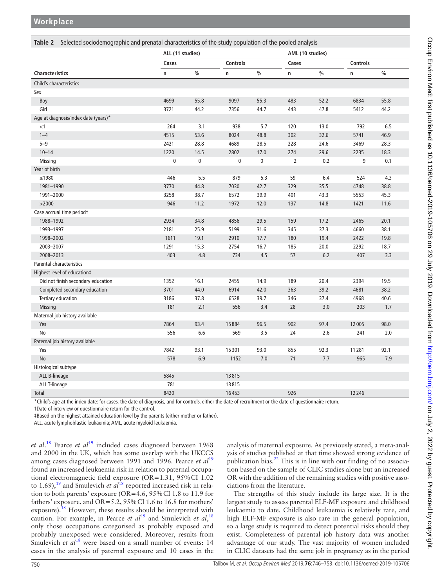**Workplace**

<span id="page-4-0"></span>

|                                      | ALL (11 studies) |         |             |           |             | AML (10 studies) |          |               |
|--------------------------------------|------------------|---------|-------------|-----------|-------------|------------------|----------|---------------|
|                                      | Cases            |         | Controls    |           | Cases       |                  | Controls |               |
| <b>Characteristics</b>               | n                | $\%$    | n           | $\%$      | $\mathsf n$ | $\frac{0}{0}$    | n        | $\frac{0}{0}$ |
| Child's characteristics              |                  |         |             |           |             |                  |          |               |
| Sex                                  |                  |         |             |           |             |                  |          |               |
| Boy                                  | 4699             | 55.8    | 9097        | 55.3      | 483         | 52.2             | 6834     | 55.8          |
| Girl                                 | 3721             | 44.2    | 7356        | 44.7      | 443         | 47.8             | 5412     | 44.2          |
| Age at diagnosis/index date (years)* |                  |         |             |           |             |                  |          |               |
| $<$ 1                                | 264              | 3.1     | 938         | 5.7       | 120         | 13.0             | 792      | 6.5           |
| $1 - 4$                              | 4515             | 53.6    | 8024        | 48.8      | 302         | 32.6             | 5741     | 46.9          |
| $5 - 9$                              | 2421             | 28.8    | 4689        | 28.5      | 228         | 24.6             | 3469     | 28.3          |
| $10 - 14$                            | 1220             | 14.5    | 2802        | 17.0      | 274         | 29.6             | 2235     | 18.3          |
| Missing                              | 0                | 0       | $\mathbf 0$ | $\pmb{0}$ | 2           | 0.2              | 9        | 0.1           |
| Year of birth                        |                  |         |             |           |             |                  |          |               |
| $≤1980$                              | 446              | $5.5\,$ | 879         | 5.3       | 59          | 6.4              | 524      | 4.3           |
| 1981-1990                            | 3770             | 44.8    | 7030        | 42.7      | 329         | 35.5             | 4748     | 38.8          |
| 1991-2000                            | 3258             | 38.7    | 6572        | 39.9      | 401         | 43.3             | 5553     | 45.3          |
| >2000                                | 946              | 11.2    | 1972        | 12.0      | 137         | 14.8             | 1421     | 11.6          |
| Case accrual time periodt            |                  |         |             |           |             |                  |          |               |
| 1988-1992                            | 2934             | 34.8    | 4856        | 29.5      | 159         | 17.2             | 2465     | 20.1          |
| 1993-1997                            | 2181             | 25.9    | 5199        | 31.6      | 345         | 37.3             | 4660     | 38.1          |
| 1998-2002                            | 1611             | 19.1    | 2910        | 17.7      | 180         | 19.4             | 2422     | 19.8          |
| 2003-2007                            | 1291             | 15.3    | 2754        | 16.7      | 185         | 20.0             | 2292     | 18.7          |
| 2008-2013                            | 403              | 4.8     | 734         | 4.5       | 57          | 6.2              | 407      | 3.3           |
| Parental characteristics             |                  |         |             |           |             |                  |          |               |
| Highest level of education‡          |                  |         |             |           |             |                  |          |               |
| Did not finish secondary education   | 1352             | 16.1    | 2455        | 14.9      | 189         | 20.4             | 2394     | 19.5          |
| Completed secondary education        | 3701             | 44.0    | 6914        | 42.0      | 363         | 39.2             | 4681     | 38.2          |
| Tertiary education                   | 3186             | 37.8    | 6528        | 39.7      | 346         | 37.4             | 4968     | 40.6          |
| <b>Missing</b>                       | 181              | 2.1     | 556         | 3.4       | 28          | 3.0              | 203      | 1.7           |
| Maternal job history available       |                  |         |             |           |             |                  |          |               |
| Yes                                  | 7864             | 93.4    | 15884       | 96.5      | 902         | 97.4             | 12005    | 98.0          |
| No                                   | 556              | 6.6     | 569         | 3.5       | 24          | 2.6              | 241      | 2.0           |
| Paternal job history available       |                  |         |             |           |             |                  |          |               |
| Yes                                  | 7842             | 93.1    | 15301       | 93.0      | 855         | 92.3             | 11281    | 92.1          |
| No                                   | 578              | 6.9     | 1152        | 7.0       | 71          | 7.7              | 965      | 7.9           |
| Histological subtype                 |                  |         |             |           |             |                  |          |               |
| ALL B-lineage                        | 5845             |         | 13815       |           |             |                  |          |               |
| ALL T-lineage                        | 781              |         | 13815       |           |             |                  |          |               |
| Total                                | 8420             |         | 16453       |           | 926         |                  | 12246    |               |

\*Child's age at the index date: for cases, the date of diagnosis, and for controls, either the date of recruitment or the date of questionnaire return.

†Date of interview or questionnaire return for the control.

‡Based on the highest attained education level by the parents (either mother or father).

ALL, acute lymphoblastic leukaemia; AML, acute myeloid leukaemia.

*et al*. [18](#page-7-21) Pearce *et al*[19](#page-7-20) included cases diagnosed between 1968 and 2000 in the UK, which has some overlap with the UKCCS among cases diagnosed between [19](#page-7-20)91 and 1996. Pearce *et al*<sup>19</sup> found an increased leukaemia risk in relation to paternal occupational electromagnetic field exposure (OR=1.31, 95%CI 1.02 to 1.69),<sup>[19](#page-7-20)</sup> and Smulevich *et al*<sup>[18](#page-7-21)</sup> reported increased risk in relation to both parents' exposure (OR=4.6, 95%CI 1.8 to 11.9 for fathers' exposure, and OR=5.2, 95%CI 1.6 to 16.8 for mothers' exposure).<sup>[18](#page-7-21)</sup> However, these results should be interpreted with caution. For example, in Pearce *et al*[19](#page-7-20) and Smulevich *et al*, [18](#page-7-21) only those occupations categorised as probably exposed and probably unexposed were considered. Moreover, results from Smulevich *et al*<sup>18</sup> were based on a small number of events: 14 cases in the analysis of paternal exposure and 10 cases in the

analysis of maternal exposure. As previously stated, a meta-analysis of studies published at that time showed strong evidence of publication bias. $^{22}$  This is in line with our finding of no association based on the sample of CLIC studies alone but an increased OR with the addition of the remaining studies with positive associations from the literature.

The strengths of this study include its large size. It is the largest study to assess parental ELF-MF exposure and childhood leukaemia to date. Childhood leukaemia is relatively rare, and high ELF-MF exposure is also rare in the general population, so a large study is required to detect potential risks should they exist. Completeness of parental job history data was another advantage of our study. The vast majority of women included in CLIC datasets had the same job in pregnancy as in the period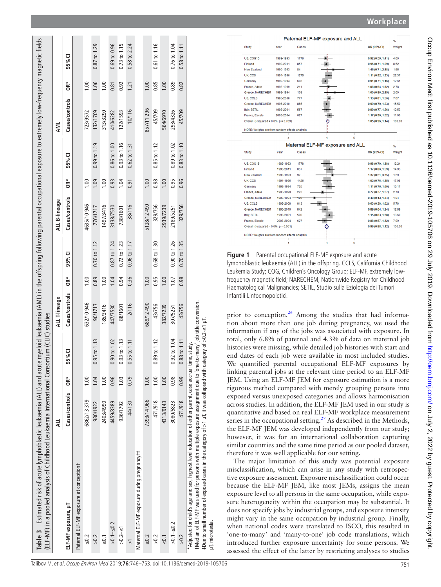| Table 3 Estimated risk of acute lymphoblastic leukaemia (ALL) and acute myeloid leukaemia (AML) in the offspring following parental occupational exposure to extremely low-frequency magnetic fields<br>(ELF-MF) in a pooled analysis of Childhood Leukaemia International Consortium (CLIC) studies                          |                |       |                                            |                |      |                         |                |      |                  |                |      |                         |
|-------------------------------------------------------------------------------------------------------------------------------------------------------------------------------------------------------------------------------------------------------------------------------------------------------------------------------|----------------|-------|--------------------------------------------|----------------|------|-------------------------|----------------|------|------------------|----------------|------|-------------------------|
|                                                                                                                                                                                                                                                                                                                               | ₹              |       |                                            | ALL T-lineage  |      |                         | ALL B-lineage  |      |                  | AML            |      |                         |
| ELF-MF exposure, µT                                                                                                                                                                                                                                                                                                           | Cases/controls | OR*   | 95% CI                                     | Cases/controls | ÒR*  | 95%CI                   | Cases/controls | ÒR*  | 95% CI           | Cases/controls | ÒR*  | 95% CI                  |
| Paternal ELF-MF exposure at conceptiont                                                                                                                                                                                                                                                                                       |                |       |                                            |                |      |                         |                |      |                  |                |      |                         |
| $\leq 0.2$                                                                                                                                                                                                                                                                                                                    | 6862/13 379    | 00.1  |                                            | 632/10946      | 1.00 |                         | 4635/10946     | 1.00 |                  | 723/9572       | 1.00 |                         |
| > 0.2                                                                                                                                                                                                                                                                                                                         | 980/1922       | 1.04  | $0.95$ to $1.13$                           | 90/1717        | 0.89 | $0.70 \text{ to } 1.12$ | 776/1717       | 1.09 | $0.99$ to $1.19$ | 132/1709       | 1.06 | 0.87 to 1.29            |
| $\leq 0.1$                                                                                                                                                                                                                                                                                                                    | 2403/4990      | 0.001 |                                            | 185/3416       | 0.01 |                         | 1497/3416      | 1.00 |                  | 313/3290       | 1.00 |                         |
| $>0.1 - 50.2$                                                                                                                                                                                                                                                                                                                 | 4459/8389      | 0.96  | $0.90$ to $1.02$                           | 447/7530       | 1.04 | $0.87$ to 1.24          | 3138/7530      | 0.93 | 0.86 to 1.00     | 410/6282       | 0.81 | $0.69$ to $0.96$        |
| $>0.2 - 51$                                                                                                                                                                                                                                                                                                                   | 936/1792       | 1.03  | 0.93 to 1.13                               | 88/1601        | 0.94 | 0.72 to 1.23            | 738/1601       | 1.04 | 0.93 to 1.16     | 122/1593       | 0.92 | $0.73$ to $1.15$        |
| $\overline{\wedge}$                                                                                                                                                                                                                                                                                                           | 44/130         | 0.79  | $0.55$ to $1.11$                           | 2/116          | 0.36 | 0.06 to 1.17            | 38/116         | 0.91 | $0.62$ to $1.31$ | 10/116         | 1.21 | 0.58 to 2.24            |
| Maternal ELF-MF exposure during pregnancy <sup>+</sup>                                                                                                                                                                                                                                                                        |                |       |                                            |                |      |                         |                |      |                  |                |      |                         |
| $\leq 0.2$                                                                                                                                                                                                                                                                                                                    | 7393/14 966    | 1.00  |                                            | 689/12 490     | 1.00 |                         | 5128/12490     | 1.00 |                  | 857/11 296     | 1.00 |                         |
| > 0.2                                                                                                                                                                                                                                                                                                                         | 471/918        | 1.00  | $0.89$ to $1.12$                           | 43/756         | 0.95 | 0.68 to 1.30            | 329/756        | 0.98 | $0.85$ to $1.12$ | 45/709         | 0.85 | $0.61$ to $1.16$        |
| $\leq 0.1$                                                                                                                                                                                                                                                                                                                    | 4313/9143      | 1.00  |                                            | 382/7239       | 1.00 |                         | 2939/7239      | 1.00 |                  | 564/6970       | 00.1 |                         |
| $>0.1 - 50.2$                                                                                                                                                                                                                                                                                                                 | 3080/5823      | 0.98  | $0.92 \text{ to } 1.04$                    | 307/5251       | 1.07 | 0.90 to 1.26            | 2189/5251      | 0.95 | 0.89 to 1.02     | 293/4326       | 0.89 | $0.76$ to $1.04$        |
| > 0.2                                                                                                                                                                                                                                                                                                                         | 471/918        | 0.99  | $0.88 \text{ to } 1.11$                    | 43/756         | 0.98 | $0.70$ to $1.35$        | 329/756        | 0.96 | 0.83 to 1.10     | 45/709         | 0.82 | $0.58 \text{ to } 1.11$ |
| t Median of ELF-MF was used for persons with multiple exposure assignment due to 'one-to-many' job title conversion.<br>*Adjusted for child's age and sex, highest level education of either parent, case accrual<br>#Due to small number of exposed cases in the category of >1 µT, it was collapsed with<br>µT, microtesla. |                |       | category of $>0.2-$ s1 µT.<br>time, study. |                |      |                         |                |      |                  |                |      |                         |



<span id="page-5-1"></span>**Figure 1** Parental occupational ELF-MF exposure and acute lymphoblastic leukaemia (ALL) in the offspring. CCLS, California Childhood Leukemia Study; COG, Children's Oncology Group; ELF-MF, extremely lowfrequency magnetic field; NARECHEM, Nationwide Registry for Childhood Haematological Malignancies; SETIL, Studio sulla Eziologia dei Tumori Infantili Linfoemopoietici.

prior to conception.<sup>[26](#page-7-22)</sup> Among the studies that had information about more than one job during pregnancy, we used the information if any of the jobs was associated with exposure. In total, only 6.8% of paternal and 4.3% of data on maternal job histories were missing, while detailed job histories with start and end dates of each job were available in most included studies. We quantified parental occupational ELF-MF exposures by linking parental jobs at the relevant time period to an ELF-MF JEM. Using an ELF-MF JEM for exposure estimation is a more rigorous method compared with merely grouping persons into exposed versus unexposed categories and allows harmonisation across studies. In addition, the ELF-MF JEM used in our study is quantitative and based on real ELF-MF workplace measurement series in the occupational setting. $27$  As described in the Methods, the ELF-MF JEM was developed independently from our study; however, it was for an international collaboration capturing similar countries and the same time period as our pooled dataset, therefore it was well applicable for our setting.

<span id="page-5-0"></span>The major limitation of this study was potential exposure misclassification, which can arise in any study with retrospec tive exposure assessment. Exposure misclassification could occur because the ELF-MF JEM, like most JEMs, assigns the mean exposure level to all persons in the same occupation, while expo sure heterogeneity within the occupation may be substantial. It does not specify jobs by industrial groups, and exposure intensity might vary in the same occupation by industrial group. Finally, when national codes were translated to ISCO, this resulted in 'one-to-many' and 'many-to-one' job code translations, which introduced further exposure uncertainty for some persons. We assessed the effect of the latter by restricting analyses to studies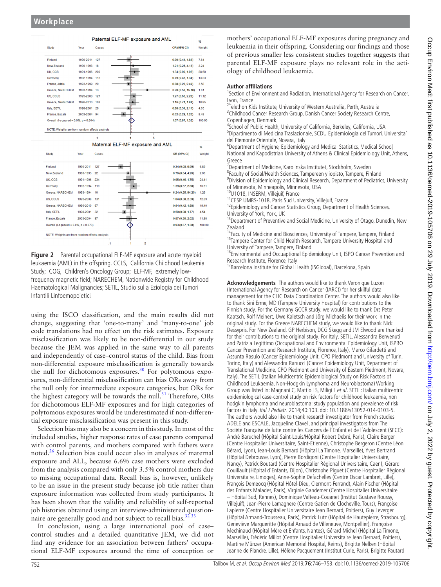

<span id="page-6-0"></span>**Figure 2** Parental occupational ELF-MF exposure and acute myeloid leukaemia (AML) in the offspring. CCLS, California Childhood Leukemia Study; COG, Children's Oncology Group; ELF-MF, extremely lowfrequency magnetic field; NARECHEM, Nationwide Registry for Childhood Haematological Malignancies; SETIL, Studio sulla Eziologia dei Tumori Infantili Linfoemopoietici.

using the ISCO classification, and the main results did not change, suggesting that 'one-to-many' and 'many-to-one' job code translations had no effect on the risk estimates. Exposure misclassification was likely to be non-differential in our study because the JEM was applied in the same way to all parents and independently of case–control status of the child. Bias from non-differential exposure misclassification is generally towards the null for dichotomous exposures.<sup>[30](#page-7-23)</sup> For polytomous exposures, non-differential misclassification can bias ORs away from the null only for intermediate exposure categories, but ORs for the highest category will be towards the null.<sup>31</sup> Therefore, ORs for dichotomous ELF-MF exposures and for high categories of polytomous exposures would be underestimated if non-differential exposure misclassification was present in this study.

Selection bias may also be a concern in this study. In most of the included studies, higher response rates of case parents compared with control parents, and mothers compared with fathers were noted. $26$  Selection bias could occur also in analyses of maternal exposure and ALL, because 6.6% case mothers were excluded from the analysis compared with only 3.5% control mothers due to missing occupational data. Recall bias is, however, unlikely to be an issue in the present study because job title rather than exposure information was collected from study participants. It has been shown that the validity and reliability of self-reported job histories obtained using an interview-administered questionnaire are generally good and not subject to recall bias. $3233$ 

In conclusion, using a large international pool of case– control studies and a detailed quantitative JEM, we did not find any evidence for an association between fathers' occupational ELF-MF exposures around the time of conception or

mothers' occupational ELF-MF exposures during pregnancy and leukaemia in their offspring. Considering our findings and those of previous smaller less consistent studies together suggests that parental ELF-MF exposure plays no relevant role in the aetiology of childhood leukaemia.

#### **Author affiliations**

<sup>1</sup>Section of Environment and Radiation, International Agency for Research on Cancer, Lyon, France <sup>2</sup>

<sup>2</sup>Telethon Kids Institute, University of Western Australia, Perth, Australia <sup>3</sup>Childhood Cancer Research Group, Danish Cancer Society Research Centre, Copenhagen, Denmark

<sup>4</sup>School of Public Health, University of California, Berkeley, California, USA<br><sup>5</sup>Dinartimento di Medicina Traslazionale, SCDU Epidemiologia del Tumori Dipartimento di Medicina Traslazionale, SCDU Epidemiologia del Tumori, Universita' del Piemonte Orientale, Novara, Italy

<sup>6</sup>Department of Hygiene, Epidemiology and Medical Statistics, Medical School, National and Kapodistrian University of Athens & Clinical Epidemiology Unit, Athens, Greece

<sup>7</sup> Department of Medicine, Karolinska Institutet, Stockholm, Sweden<br><sup>8</sup>Eaculty of Social/Health Sciences Tampereen vlienisto Tampere, Fir

<sup>8</sup>Faculty of Social/Health Sciences, Tampereen yliopisto, Tampere, Finland <sup>9</sup> Division of Epidemiology and Clinical Research, Department of Pediatrics, University

of Minnesota, Minneapolis, Minnesota, USA<br><sup>10</sup>U1018, INSERM, Villejuif, France<br><sup>11</sup>CESP UMRS-1018, Paris Sud University, Villejuif, France<br><sup>12</sup>Epidemiology and Cancer Statistics Group, Department of Health Sciences,

University of York, York, UK<br><sup>13</sup>Department of Preventive and Social Medicine, University of Otago, Dunedin, New

Zealand<br><sup>14</sup>Faculty of Medicine and Biosciences, University of Tampere, Tampere, Finland <sup>15</sup>Tampere Center for Child Health Research, Tampere University Hospital and University of Tampere, Tampere, Finland

University of Tampere, Tampere, Tampere, Tampere, Tampere, Tampere, Tampere, Tampere, Tampere, Tampere, Tampere, Tampere, Tampere, Tampere, Tampere, Tampere, Tampere, Tampere, Tampere, Tampere, Tampere, Tampere, Tampere, T

<sup>1</sup>'Barcelona Institute for Global Health (ISGlobal), Barcelona, Spain

**Acknowledgements** The authors would like to thank Veronique Luzon (International Agency for Research on Cancer (IARC)) for her skilful data management for the CLIC Data Coordination Center. The authors would also like to thank Sini Erme, MD (Tampere University Hospital) for contributions to the Finnish study. For the Germany GCCR study, we would like to thank Drs Peter Kaatsch, Rolf Meinert, Uwe Kaletsch and Jörg Michaelis for their work in the original study. For the Greece NARECHEM study, we would like to thank Nick Dessypris. For New Zealand, GP Herbison, DCG Skegg and JM Elwood are thanked for their contributions to the original study. For Italy, SETIL, Alessandra Benvenuti and Patrizia Legittimo (Occupational and Environmental Epidemiology Unit, ISPRO Cancer Prevention and Research Institute, Florence, Italy), Marco Gilardetti and Assunta Rasulo (Cancer Epidemiology Unit, CPO Piedmont and University of Turin, Torino, Italy) and Alessandra Ranucci (Cancer Epidemiology Unit, Department of Translational Medicine, CPO Piedmont and University of Eastern Piedmont, Novara, Italy). The SETIL (Italian Multicentric Epidemiological Study on Risk Factors of Childhood Leukaemia, Non-Hodgkin Lymphoma and Neuroblastoma) Working Group was listed in: Magnani C, Mattioli S, Miligi L et al. SETIL: Italian multicentric epidemiological case-control study on risk factors for childhood leukaemia, non hodgkin lymphoma and neuroblastoma: study population and prevalence of risk factors in Italy. Ital J Pediatr. 2014;40:103. doi: 10.1186/s13052-014-0103-5. The authors would also like to thank research investigator from French studies ADELE and ESCALE, Jacqueline Clavel ,and principal investigators from The Société Française de lutte contre les Cancers de l'Enfant et de l'Adolescent (SFCE): André Baruchel (Hôpital Saint-Louis/Hôpital Robert Debré, Paris), Claire Berger (Centre Hospitalier Universitaire, Saint-Etienne), Christophe Bergeron (Centre Léon Bérard, Lyon), Jean-Louis Bernard (Hôpital La Timone, Marseille), Yves Bertrand (Hôpital Debrousse, Lyon), Pierre Bordigoni (Centre Hospitalier Universitaire, Nancy), Patrick Boutard (Centre Hospitalier Régional Universitaire, Caen), Gérard Couillault (Hôpital d'Enfants, Dijon), Christophe Piguet (Centre Hospitalier Régional Universitaire, Limoges), Anne-Sophie Defachelles (Centre Oscar Lambret, Lille), François Demeocq (Hôpital Hôtel-Dieu, Clermont-Ferrand), Alain Fischer (Hôpital des Enfants Malades, Paris), Virginie Gandemer (Centre Hospitalier Universitaire – Hôpital Sud, Rennes), Dominique Valteau-Couanet (Institut Gustave Roussy, Villejuif), Jean-Pierre Lamagnere (Centre Gatien de Clocheville, Tours), Françoise Lapierre (Centre Hospitalier Universitaire Jean Bernard, Poitiers), Guy Leverger (Hôpital Armand-Trousseau, Paris), Patrick Lutz (Hôpital de Hautepierre, Strasbourg), Geneviève Margueritte (Hôpital Arnaud de Villeneuve, Montpellier), Françoise Mechinaud (Hôpital Mère et Enfants, Nantes), Gérard Michel (Hôpital La Timone, Marseille), Frédéric Millot (Centre Hospitalier Universitaire Jean Bernard, Poitiers), Martine Münzer (American Memorial Hospital, Reims), Brigitte Nelken (Hôpital Jeanne de Flandre, Lille), Hélène Pacquement (Institut Curie, Paris), Brigitte Pautard